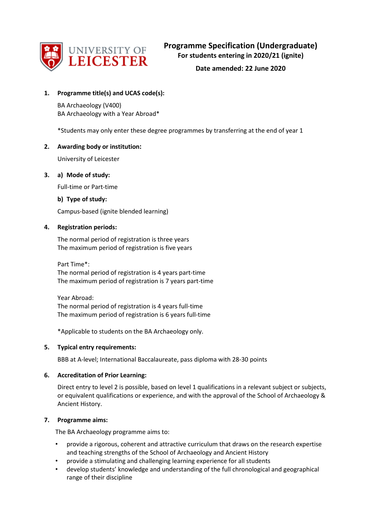

## **1. Programme title(s) and UCAS code(s):**

BA Archaeology (V400) BA Archaeology with a Year Abroad\*

\*Students may only enter these degree programmes by transferring at the end of year 1

## **2. Awarding body or institution:**

University of Leicester

## **3. a) Mode of study:**

Full-time or Part-time

## **b) Type of study:**

Campus-based (ignite blended learning)

## **4. Registration periods:**

The normal period of registration is three years The maximum period of registration is five years

Part Time\*: The normal period of registration is 4 years part-time The maximum period of registration is 7 years part-time

Year Abroad: The normal period of registration is 4 years full-time The maximum period of registration is 6 years full-time

\*Applicable to students on the BA Archaeology only.

## **5. Typical entry requirements:**

BBB at A-level; International Baccalaureate, pass diploma with 28-30 points

## **6. Accreditation of Prior Learning:**

Direct entry to level 2 is possible, based on level 1 qualifications in a relevant subject or subjects, or equivalent qualifications or experience, and with the approval of the School of Archaeology & Ancient History.

## **7. Programme aims:**

The BA Archaeology programme aims to:

- provide a rigorous, coherent and attractive curriculum that draws on the research expertise and teaching strengths of the School of Archaeology and Ancient History
- provide a stimulating and challenging learning experience for all students
- develop students' knowledge and understanding of the full chronological and geographical range of their discipline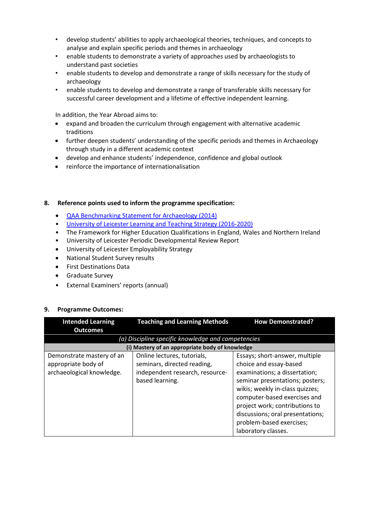- develop students' abilities to apply archaeological theories, techniques, and concepts to analyse and explain specific periods and themes in archaeology
- enable students to demonstrate a variety of approaches used by archaeologists to understand past societies
- enable students to develop and demonstrate a range of skills necessary for the study of archaeology
- enable students to develop and demonstrate a range of transferable skills necessary for successful career development and a lifetime of effective independent learning.

In addition, the Year Abroad aims to:

- expand and broaden the curriculum through engagement with alternative academic traditions
- further deepen students' understanding of the specific periods and themes in Archaeology through study in a different academic context
- develop and enhance students' independence, confidence and global outlook
- reinforce the importance of internationalisation

## **8. Reference points used to inform the programme specification:**

- [QAA Benchmarking Statement](http://www.qaa.ac.uk/en/Publications/Documents/SBS-archaeology-14.pdf) for Archaeology (2014)
- [University of Leicester Learning and Teaching Strategy \(2016-2020\)](http://www2.le.ac.uk/offices/sas2/quality/learnteach)
- The Framework for Higher Education Qualifications in England, Wales and Northern Ireland
- University of Leicester Periodic Developmental Review Report
- University of Leicester Employability Strategy
- National Student Survey results
- First Destinations Data
- Graduate Survey
- External Examiners' reports (annual)

#### **9. Programme Outcomes:**

| <b>Intended Learning</b><br><b>Outcomes</b>                                   | <b>Teaching and Learning Methods</b>                                                                             | <b>How Demonstrated?</b>                                                                                                                                                                                                                                                                                                 |
|-------------------------------------------------------------------------------|------------------------------------------------------------------------------------------------------------------|--------------------------------------------------------------------------------------------------------------------------------------------------------------------------------------------------------------------------------------------------------------------------------------------------------------------------|
|                                                                               | (a) Discipline specific knowledge and competencies                                                               |                                                                                                                                                                                                                                                                                                                          |
|                                                                               | (i) Mastery of an appropriate body of knowledge                                                                  |                                                                                                                                                                                                                                                                                                                          |
| Demonstrate mastery of an<br>appropriate body of<br>archaeological knowledge. | Online lectures, tutorials,<br>seminars, directed reading,<br>independent research, resource-<br>based learning. | Essays; short-answer, multiple<br>choice and essay-based<br>examinations; a dissertation;<br>seminar presentations; posters;<br>wikis; weekly in-class quizzes;<br>computer-based exercises and<br>project work; contributions to<br>discussions; oral presentations;<br>problem-based exercises;<br>laboratory classes. |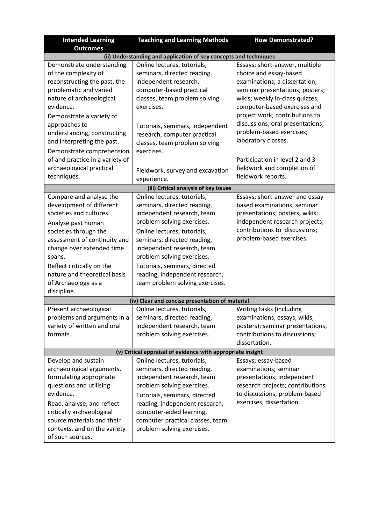| <b>Intended Learning</b>                                                                                                                                                                                                                                                                                                                                                                                    | <b>How Demonstrated?</b>                                                                                                                                                                                                                                                                                                                                                                                                                                                                                                            |                                                                                                                                                                                                                                                                                                                                                   |  |  |  |  |  |  |
|-------------------------------------------------------------------------------------------------------------------------------------------------------------------------------------------------------------------------------------------------------------------------------------------------------------------------------------------------------------------------------------------------------------|-------------------------------------------------------------------------------------------------------------------------------------------------------------------------------------------------------------------------------------------------------------------------------------------------------------------------------------------------------------------------------------------------------------------------------------------------------------------------------------------------------------------------------------|---------------------------------------------------------------------------------------------------------------------------------------------------------------------------------------------------------------------------------------------------------------------------------------------------------------------------------------------------|--|--|--|--|--|--|
| <b>Outcomes</b>                                                                                                                                                                                                                                                                                                                                                                                             |                                                                                                                                                                                                                                                                                                                                                                                                                                                                                                                                     |                                                                                                                                                                                                                                                                                                                                                   |  |  |  |  |  |  |
| Demonstrate understanding                                                                                                                                                                                                                                                                                                                                                                                   | (ii) Understanding and application of key concepts and techniques<br>Online lectures, tutorials,                                                                                                                                                                                                                                                                                                                                                                                                                                    | Essays; short-answer, multiple                                                                                                                                                                                                                                                                                                                    |  |  |  |  |  |  |
| of the complexity of<br>reconstructing the past, the<br>problematic and varied<br>nature of archaeological<br>evidence.                                                                                                                                                                                                                                                                                     | seminars, directed reading,<br>independent research,<br>computer-based practical<br>classes, team problem solving<br>exercises.                                                                                                                                                                                                                                                                                                                                                                                                     | choice and essay-based<br>examinations; a dissertation;<br>seminar presentations; posters;<br>wikis; weekly in-class quizzes;<br>computer-based exercises and                                                                                                                                                                                     |  |  |  |  |  |  |
| Demonstrate a variety of<br>approaches to<br>understanding, constructing<br>and interpreting the past.<br>Demonstrate comprehension                                                                                                                                                                                                                                                                         | Tutorials, seminars, independent<br>research, computer practical<br>classes, team problem solving<br>exercises.                                                                                                                                                                                                                                                                                                                                                                                                                     | project work; contributions to<br>discussions; oral presentations;<br>problem-based exercises;<br>laboratory classes.                                                                                                                                                                                                                             |  |  |  |  |  |  |
| of and practice in a variety of<br>archaeological practical<br>techniques.                                                                                                                                                                                                                                                                                                                                  | Fieldwork, survey and excavation<br>experience.                                                                                                                                                                                                                                                                                                                                                                                                                                                                                     | Participation in level 2 and 3<br>fieldwork and completion of<br>fieldwork reports.                                                                                                                                                                                                                                                               |  |  |  |  |  |  |
|                                                                                                                                                                                                                                                                                                                                                                                                             | (iii) Critical analysis of key issues                                                                                                                                                                                                                                                                                                                                                                                                                                                                                               |                                                                                                                                                                                                                                                                                                                                                   |  |  |  |  |  |  |
| Compare and analyse the<br>development of different<br>societies and cultures.<br>Analyse past human<br>societies through the<br>assessment of continuity and<br>change over extended time<br>spans.<br>Reflect critically on the<br>nature and theoretical basis<br>of Archaeology as a<br>discipline.<br>Present archaeological<br>problems and arguments in a<br>variety of written and oral<br>formats. | Online lectures, tutorials,<br>seminars, directed reading,<br>independent research, team<br>problem solving exercises.<br>Online lectures, tutorials,<br>seminars, directed reading,<br>independent research, team<br>problem solving exercises.<br>Tutorials, seminars, directed<br>reading, independent research,<br>team problem solving exercises.<br>(iv) Clear and concise presentation of material<br>Online lectures, tutorials,<br>seminars, directed reading,<br>independent research, team<br>problem solving exercises. | Essays; short-answer and essay-<br>based examinations; seminar<br>presentations; posters; wikis;<br>independent research projects;<br>contributions to discussions;<br>problem-based exercises.<br>Writing tasks (including<br>examinations, essays, wikis,<br>posters); seminar presentations;<br>contributions to discussions;<br>dissertation. |  |  |  |  |  |  |
|                                                                                                                                                                                                                                                                                                                                                                                                             | (v) Critical appraisal of evidence with appropriate insight                                                                                                                                                                                                                                                                                                                                                                                                                                                                         |                                                                                                                                                                                                                                                                                                                                                   |  |  |  |  |  |  |
| Develop and sustain<br>archaeological arguments,<br>formulating appropriate<br>questions and utilising<br>evidence.<br>Read, analyse, and reflect<br>critically archaeological<br>source materials and their<br>contexts, and on the variety<br>of such sources.                                                                                                                                            | Online lectures, tutorials,<br>seminars, directed reading,<br>independent research, team<br>problem solving exercises.<br>Tutorials, seminars, directed<br>reading, independent research,<br>computer-aided learning,<br>computer practical classes, team<br>problem solving exercises.                                                                                                                                                                                                                                             | Essays; essay-based<br>examinations; seminar<br>presentations; independent<br>research projects; contributions<br>to discussions; problem-based<br>exercises; dissertation.                                                                                                                                                                       |  |  |  |  |  |  |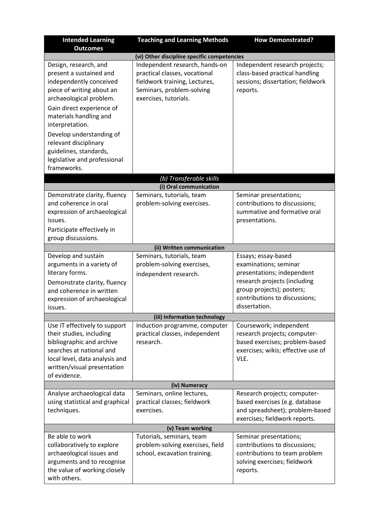| <b>Intended Learning</b><br><b>Outcomes</b>                                                                                                                                                                                                                                                                                  | <b>Teaching and Learning Methods</b>                                                                                                                   | <b>How Demonstrated?</b>                                                                                                                                                                  |
|------------------------------------------------------------------------------------------------------------------------------------------------------------------------------------------------------------------------------------------------------------------------------------------------------------------------------|--------------------------------------------------------------------------------------------------------------------------------------------------------|-------------------------------------------------------------------------------------------------------------------------------------------------------------------------------------------|
|                                                                                                                                                                                                                                                                                                                              | (vi) Other discipline specific competencies                                                                                                            |                                                                                                                                                                                           |
| Design, research, and<br>present a sustained and<br>independently conceived<br>piece of writing about an<br>archaeological problem.<br>Gain direct experience of<br>materials handling and<br>interpretation.<br>Develop understanding of<br>relevant disciplinary<br>guidelines, standards,<br>legislative and professional | Independent research, hands-on<br>practical classes, vocational<br>fieldwork training, Lectures,<br>Seminars, problem-solving<br>exercises, tutorials. | Independent research projects;<br>class-based practical handling<br>sessions; dissertation; fieldwork<br>reports.                                                                         |
| frameworks.                                                                                                                                                                                                                                                                                                                  |                                                                                                                                                        |                                                                                                                                                                                           |
|                                                                                                                                                                                                                                                                                                                              | (b) Transferable skills                                                                                                                                |                                                                                                                                                                                           |
|                                                                                                                                                                                                                                                                                                                              | (i) Oral communication                                                                                                                                 |                                                                                                                                                                                           |
| Demonstrate clarity, fluency<br>and coherence in oral<br>expression of archaeological<br>issues.<br>Participate effectively in                                                                                                                                                                                               | Seminars, tutorials, team<br>problem-solving exercises.                                                                                                | Seminar presentations;<br>contributions to discussions;<br>summative and formative oral<br>presentations.                                                                                 |
| group discussions.                                                                                                                                                                                                                                                                                                           |                                                                                                                                                        |                                                                                                                                                                                           |
|                                                                                                                                                                                                                                                                                                                              | (ii) Written communication                                                                                                                             |                                                                                                                                                                                           |
| Develop and sustain<br>arguments in a variety of<br>literary forms.<br>Demonstrate clarity, fluency<br>and coherence in written<br>expression of archaeological<br>issues.                                                                                                                                                   | Seminars, tutorials, team<br>problem-solving exercises,<br>independent research.                                                                       | Essays; essay-based<br>examinations; seminar<br>presentations; independent<br>research projects (including<br>group projects); posters;<br>contributions to discussions;<br>dissertation. |
|                                                                                                                                                                                                                                                                                                                              | (iii) Information technology                                                                                                                           |                                                                                                                                                                                           |
| Use IT effectively to support<br>their studies, including<br>bibliographic and archive<br>searches at national and<br>local level, data analysis and<br>written/visual presentation<br>of evidence.                                                                                                                          | Induction programme, computer<br>practical classes, independent<br>research.                                                                           | Coursework; independent<br>research projects; computer-<br>based exercises; problem-based<br>exercises; wikis; effective use of<br>VLE.                                                   |
|                                                                                                                                                                                                                                                                                                                              | (iv) Numeracy                                                                                                                                          |                                                                                                                                                                                           |
| Analyse archaeological data<br>using statistical and graphical<br>techniques.                                                                                                                                                                                                                                                | Seminars, online lectures,<br>practical classes; fieldwork<br>exercises.                                                                               | Research projects; computer-<br>based exercises (e.g. database<br>and spreadsheet); problem-based<br>exercises; fieldwork reports.                                                        |
| Be able to work                                                                                                                                                                                                                                                                                                              | (v) Team working                                                                                                                                       |                                                                                                                                                                                           |
| collaboratively to explore<br>archaeological issues and<br>arguments and to recognise<br>the value of working closely<br>with others.                                                                                                                                                                                        | Tutorials, seminars, team<br>problem-solving exercises, field<br>school, excavation training.                                                          | Seminar presentations;<br>contributions to discussions;<br>contributions to team problem<br>solving exercises; fieldwork<br>reports.                                                      |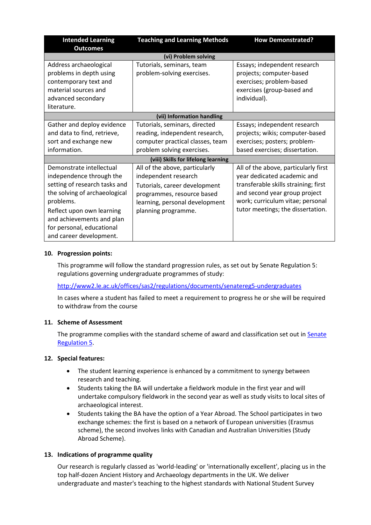| <b>Intended Learning</b><br><b>Outcomes</b>                                                                                                                                                                                                           | <b>Teaching and Learning Methods</b>                                                                                                                                           | <b>How Demonstrated?</b>                                                                                                                                                                                              |  |  |  |  |  |  |  |  |  |
|-------------------------------------------------------------------------------------------------------------------------------------------------------------------------------------------------------------------------------------------------------|--------------------------------------------------------------------------------------------------------------------------------------------------------------------------------|-----------------------------------------------------------------------------------------------------------------------------------------------------------------------------------------------------------------------|--|--|--|--|--|--|--|--|--|
|                                                                                                                                                                                                                                                       | (vi) Problem solving                                                                                                                                                           |                                                                                                                                                                                                                       |  |  |  |  |  |  |  |  |  |
| Address archaeological<br>problems in depth using<br>contemporary text and<br>material sources and<br>advanced secondary<br>literature.                                                                                                               | Tutorials, seminars, team<br>problem-solving exercises.                                                                                                                        | Essays; independent research<br>projects; computer-based<br>exercises; problem-based<br>exercises (group-based and<br>individual).                                                                                    |  |  |  |  |  |  |  |  |  |
|                                                                                                                                                                                                                                                       | (vii) Information handling                                                                                                                                                     |                                                                                                                                                                                                                       |  |  |  |  |  |  |  |  |  |
| Gather and deploy evidence<br>and data to find, retrieve,<br>sort and exchange new<br>information.                                                                                                                                                    | Tutorials, seminars, directed<br>reading, independent research,<br>computer practical classes, team<br>problem solving exercises.                                              | Essays; independent research<br>projects; wikis; computer-based<br>exercises; posters; problem-<br>based exercises; dissertation.                                                                                     |  |  |  |  |  |  |  |  |  |
|                                                                                                                                                                                                                                                       | (viii) Skills for lifelong learning                                                                                                                                            |                                                                                                                                                                                                                       |  |  |  |  |  |  |  |  |  |
| Demonstrate intellectual<br>independence through the<br>setting of research tasks and<br>the solving of archaeological<br>problems.<br>Reflect upon own learning<br>and achievements and plan<br>for personal, educational<br>and career development. | All of the above, particularly<br>independent research<br>Tutorials, career development<br>programmes, resource based<br>learning, personal development<br>planning programme. | All of the above, particularly first<br>year dedicated academic and<br>transferable skills straining; first<br>and second year group project<br>work; curriculum vitae; personal<br>tutor meetings; the dissertation. |  |  |  |  |  |  |  |  |  |

## **10. Progression points:**

This programme will follow the standard progression rules, as set out by Senate Regulation 5: regulations governing undergraduate programmes of study:

<http://www2.le.ac.uk/offices/sas2/regulations/documents/senatereg5-undergraduates>

In cases where a student has failed to meet a requirement to progress he or she will be required to withdraw from the course

## **11. Scheme of Assessment**

The programme complies with the standard scheme of award and classification set out in Senate [Regulation 5.](http://www2.le.ac.uk/offices/sas2/regulations/documents/senatereg5-undergraduates)

## **12. Special features:**

- The student learning experience is enhanced by a commitment to synergy between research and teaching.
- Students taking the BA will undertake a fieldwork module in the first year and will undertake compulsory fieldwork in the second year as well as study visits to local sites of archaeological interest.
- Students taking the BA have the option of a Year Abroad. The School participates in two exchange schemes: the first is based on a network of European universities (Erasmus scheme), the second involves links with Canadian and Australian Universities (Study Abroad Scheme).

## **13. Indications of programme quality**

Our research is regularly classed as 'world-leading' or 'internationally excellent', placing us in the top half-dozen Ancient History and Archaeology departments in the UK. We deliver undergraduate and master's teaching to the highest standards with National Student Survey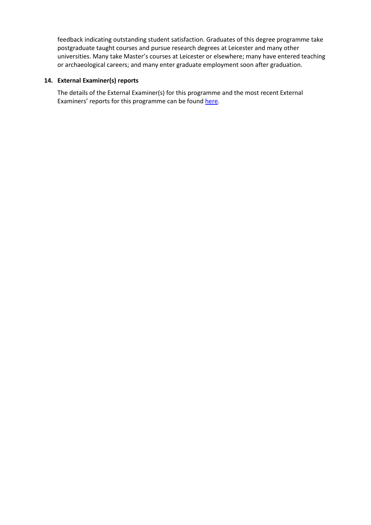feedback indicating outstanding student satisfaction. Graduates of this degree programme take postgraduate taught courses and pursue research degrees at Leicester and many other universities. Many take Master's courses at Leicester or elsewhere; many have entered teaching or archaeological careers; and many enter graduate employment soon after graduation.

## **14. External Examiner(s) reports**

The details of the External Examiner(s) for this programme and the most recent External Examiners' reports for this programme can be found [here.](https://exampapers.le.ac.uk/xmlui/)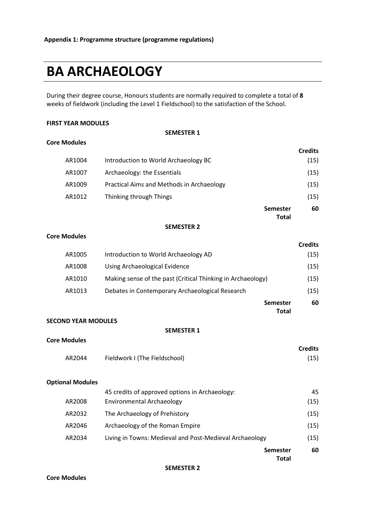# **BA ARCHAEOLOGY**

During their degree course, Honours students are normally required to complete a total of **8** weeks of fieldwork (including the Level 1 Fieldschool) to the satisfaction of the School.

#### **FIRST YEAR MODULES**

**Core Modules**

#### **SEMESTER 1**

|        |                                           |                                 | <b>Credits</b> |
|--------|-------------------------------------------|---------------------------------|----------------|
| AR1004 | Introduction to World Archaeology BC      |                                 | (15)           |
| AR1007 | Archaeology: the Essentials               |                                 | (15)           |
| AR1009 | Practical Aims and Methods in Archaeology |                                 | (15)           |
| AR1012 | Thinking through Things                   |                                 | (15)           |
|        |                                           | <b>Semester</b><br><b>Total</b> | 60             |

#### **SEMESTER 2**

#### **Core Modules**

|        |                                                             | <b>Credits</b> |
|--------|-------------------------------------------------------------|----------------|
| AR1005 | Introduction to World Archaeology AD                        | (15)           |
| AR1008 | Using Archaeological Evidence                               | (15)           |
| AR1010 | Making sense of the past (Critical Thinking in Archaeology) | (15)           |
| AR1013 | Debates in Contemporary Archaeological Research             | (15)           |
|        | <b>Semester</b>                                             | 60             |
|        | Total                                                       |                |

#### **SECOND YEAR MODULES**

#### **SEMESTER 1**

|        |                               | <b>Credits</b> |
|--------|-------------------------------|----------------|
| AR2044 | Fieldwork I (The Fieldschool) | (15)           |

#### **Optional Modules**

**Core Modules**

|        | <b>Total</b>                                            |      |
|--------|---------------------------------------------------------|------|
|        | <b>Semester</b>                                         | 60   |
| AR2034 | Living in Towns: Medieval and Post-Medieval Archaeology | (15) |
| AR2046 | Archaeology of the Roman Empire                         | (15) |
| AR2032 | The Archaeology of Prehistory                           | (15) |
| AR2008 | <b>Environmental Archaeology</b>                        | (15) |
|        | 45 credits of approved options in Archaeology:          | 45   |

#### **SEMESTER 2**

**Core Modules**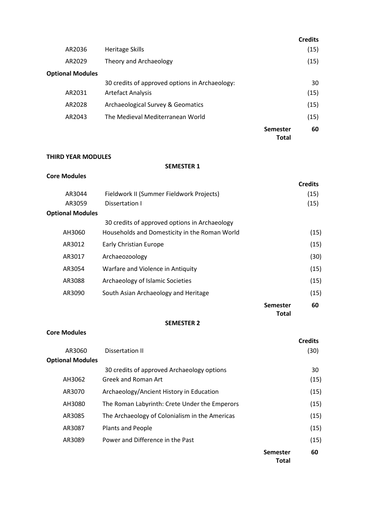|                         |                                                |                                 | <b>Credits</b> |
|-------------------------|------------------------------------------------|---------------------------------|----------------|
| AR2036                  | <b>Heritage Skills</b>                         |                                 | (15)           |
| AR2029                  | Theory and Archaeology                         |                                 | (15)           |
| <b>Optional Modules</b> |                                                |                                 |                |
|                         | 30 credits of approved options in Archaeology: |                                 | 30             |
| AR2031                  | <b>Artefact Analysis</b>                       |                                 | (15)           |
| AR2028                  | Archaeological Survey & Geomatics              |                                 | (15)           |
| AR2043                  | The Medieval Mediterranean World               |                                 | (15)           |
|                         |                                                | <b>Semester</b><br><b>Total</b> | 60             |

## **THIRD YEAR MODULES**

### **SEMESTER 1**

## **Core Modules**

|                         |                                               |                          | <b>Credits</b> |
|-------------------------|-----------------------------------------------|--------------------------|----------------|
| AR3044                  | Fieldwork II (Summer Fieldwork Projects)      |                          | (15)           |
| AR3059                  | Dissertation I                                |                          | (15)           |
| <b>Optional Modules</b> |                                               |                          |                |
|                         | 30 credits of approved options in Archaeology |                          |                |
| AH3060                  | Households and Domesticity in the Roman World |                          | (15)           |
| AR3012                  | <b>Early Christian Europe</b>                 |                          | (15)           |
| AR3017                  | Archaeozoology                                |                          | (30)           |
| AR3054                  | Warfare and Violence in Antiquity             |                          | (15)           |
| AR3088                  | Archaeology of Islamic Societies              |                          | (15)           |
| AR3090                  | South Asian Archaeology and Heritage          |                          | (15)           |
|                         |                                               | <b>Semester</b><br>Total | 60             |

## **SEMESTER 2**

## **Core Modules**

|                         |                                                |                          | <b>Credits</b> |
|-------------------------|------------------------------------------------|--------------------------|----------------|
| AR3060                  | Dissertation II                                |                          | (30)           |
| <b>Optional Modules</b> |                                                |                          |                |
|                         | 30 credits of approved Archaeology options     |                          | 30             |
| AH3062                  | Greek and Roman Art                            |                          | (15)           |
| AR3070                  | Archaeology/Ancient History in Education       |                          | (15)           |
| AH3080                  | The Roman Labyrinth: Crete Under the Emperors  |                          | (15)           |
| AR3085                  | The Archaeology of Colonialism in the Americas |                          | (15)           |
| AR3087                  | Plants and People                              |                          | (15)           |
| AR3089                  | Power and Difference in the Past               |                          | (15)           |
|                         |                                                | <b>Semester</b><br>Total | 60             |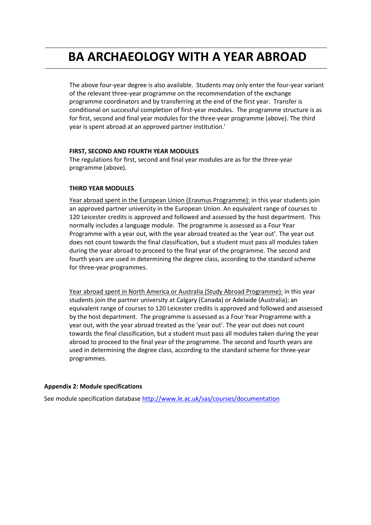## **BA ARCHAEOLOGY WITH A YEAR ABROAD**

The above four-year degree is also available. Students may only enter the four-year variant of the relevant three-year programme on the recommendation of the exchange programme coordinators and by transferring at the end of the first year. Transfer is conditional on successful completion of first-year modules. The programme structure is as for first, second and final year modules for the three-year programme (above). The third year is spent abroad at an approved partner institution.'

## **FIRST, SECOND AND FOURTH YEAR MODULES**

The regulations for first, second and final year modules are as for the three-year programme (above).

#### **THIRD YEAR MODULES**

Year abroad spent in the European Union (Erasmus Programme): in this year students join an approved partner university in the European Union. An equivalent range of courses to 120 Leicester credits is approved and followed and assessed by the host department. This normally includes a language module. The programme is assessed as a Four Year Programme with a year out, with the year abroad treated as the 'year out'. The year out does not count towards the final classification, but a student must pass all modules taken during the year abroad to proceed to the final year of the programme. The second and fourth years are used in determining the degree class, according to the standard scheme for three-year programmes.

Year abroad spent in North America or Australia (Study Abroad Programme): in this year students join the partner university at Calgary (Canada) or Adelaide (Australia); an equivalent range of courses to 120 Leicester credits is approved and followed and assessed by the host department. The programme is assessed as a Four Year Programme with a year out, with the year abroad treated as the 'year out'. The year out does not count towards the final classification, but a student must pass all modules taken during the year abroad to proceed to the final year of the programme. The second and fourth years are used in determining the degree class, according to the standard scheme for three-year programmes.

#### **Appendix 2: Module specifications**

See module specification database <http://www.le.ac.uk/sas/courses/documentation>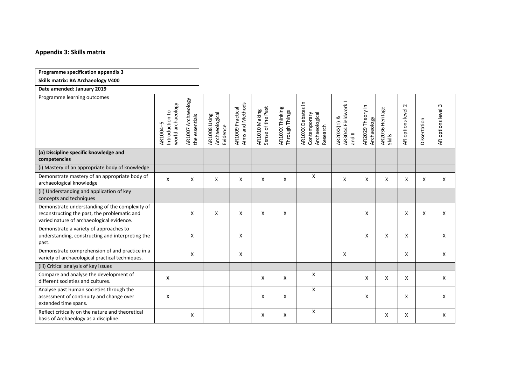#### **Appendix 3: Skills matrix**

| Programme specification appendix 3                                                                                                          |                                                  |                                         |                                            |                                      |                                    |                                   |                                                                 |                                                    |                                 |                           |                            |              |                    |
|---------------------------------------------------------------------------------------------------------------------------------------------|--------------------------------------------------|-----------------------------------------|--------------------------------------------|--------------------------------------|------------------------------------|-----------------------------------|-----------------------------------------------------------------|----------------------------------------------------|---------------------------------|---------------------------|----------------------------|--------------|--------------------|
| Skills matrix: BA Archaeology V400                                                                                                          |                                                  |                                         |                                            |                                      |                                    |                                   |                                                                 |                                                    |                                 |                           |                            |              |                    |
| Date amended: January 2019                                                                                                                  |                                                  |                                         |                                            |                                      |                                    |                                   |                                                                 |                                                    |                                 |                           |                            |              |                    |
| Programme learning outcomes                                                                                                                 | world archaeology<br>Introduction to<br>AR1004-5 | Archaeology<br>the essentials<br>AR1007 | Archaeological<br>AR1008 Using<br>Evidence | Aims and Methods<br>AR1009 Practical | Sense of the Past<br>AR1010 Making | AR10XX Thinking<br>Through Things | AR10XX Debates in<br>Archaeological<br>Contemporary<br>Research | AR3044 Fieldwork I<br>AR20XX(1) &<br>$\frac{1}{2}$ | AR2029 Theory in<br>Archaeology | AR2036 Heritage<br>Skills | $\sim$<br>AR options level | Dissertation | AR options level 3 |
| (a) Discipline specific knowledge and<br>competencies                                                                                       |                                                  |                                         |                                            |                                      |                                    |                                   |                                                                 |                                                    |                                 |                           |                            |              |                    |
| (i) Mastery of an appropriate body of knowledge                                                                                             |                                                  |                                         |                                            |                                      |                                    |                                   |                                                                 |                                                    |                                 |                           |                            |              |                    |
| Demonstrate mastery of an appropriate body of<br>archaeological knowledge                                                                   | X                                                | X                                       | X                                          | X                                    | Χ                                  | X                                 | X                                                               | X                                                  | X                               | X                         | X                          | Χ            | X                  |
| (ii) Understanding and application of key<br>concepts and techniques                                                                        |                                                  |                                         |                                            |                                      |                                    |                                   |                                                                 |                                                    |                                 |                           |                            |              |                    |
| Demonstrate understanding of the complexity of<br>reconstructing the past, the problematic and<br>varied nature of archaeological evidence. |                                                  | X                                       | X                                          | X                                    | X                                  | X                                 |                                                                 |                                                    | X                               |                           | X                          | X            | X                  |
| Demonstrate a variety of approaches to<br>understanding, constructing and interpreting the<br>past.                                         |                                                  | X                                       |                                            | X                                    |                                    |                                   |                                                                 |                                                    | X                               | X                         | X                          |              | X                  |
| Demonstrate comprehension of and practice in a<br>variety of archaeological practical techniques.                                           |                                                  | X                                       |                                            | X                                    |                                    |                                   |                                                                 | X                                                  |                                 |                           | X                          |              | X                  |
| (iii) Critical analysis of key issues                                                                                                       |                                                  |                                         |                                            |                                      |                                    |                                   |                                                                 |                                                    |                                 |                           |                            |              |                    |
| Compare and analyse the development of<br>different societies and cultures.                                                                 | X                                                |                                         |                                            |                                      | X                                  | X                                 | X                                                               |                                                    | X                               | X                         | X                          |              | X                  |
| Analyse past human societies through the<br>assessment of continuity and change over<br>extended time spans.                                | X                                                |                                         |                                            |                                      | X                                  | X                                 | X                                                               |                                                    | X                               |                           | X                          |              | X                  |
| Reflect critically on the nature and theoretical<br>basis of Archaeology as a discipline.                                                   |                                                  | X                                       |                                            |                                      | X                                  | X                                 | Χ                                                               |                                                    |                                 | X                         | X                          |              | X                  |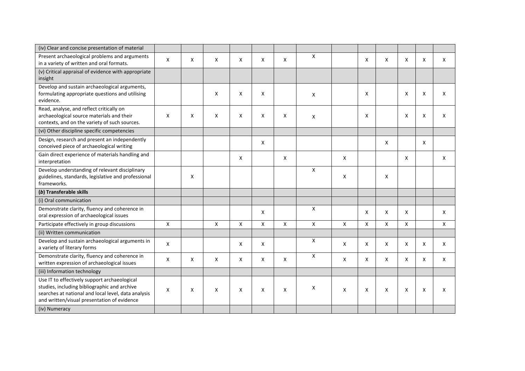| (iv) Clear and concise presentation of material                                                                                                                                                    |                    |   |                |   |                           |   |                    |   |   |                |   |   |   |
|----------------------------------------------------------------------------------------------------------------------------------------------------------------------------------------------------|--------------------|---|----------------|---|---------------------------|---|--------------------|---|---|----------------|---|---|---|
| Present archaeological problems and arguments<br>in a variety of written and oral formats.                                                                                                         | X                  | X | X              | X | X                         | X | X                  |   | X | X              | X | X | X |
| (v) Critical appraisal of evidence with appropriate<br>insight                                                                                                                                     |                    |   |                |   |                           |   |                    |   |   |                |   |   |   |
| Develop and sustain archaeological arguments,<br>formulating appropriate questions and utilising<br>evidence.                                                                                      |                    |   | X              | X | X                         |   | X                  |   | X |                | X | X | X |
| Read, analyse, and reflect critically on<br>archaeological source materials and their<br>contexts, and on the variety of such sources.                                                             | X                  | X | Χ              | X | X                         | X | X                  |   | X |                | X | X | X |
| (vi) Other discipline specific competencies                                                                                                                                                        |                    |   |                |   |                           |   |                    |   |   |                |   |   |   |
| Design, research and present an independently<br>conceived piece of archaeological writing                                                                                                         |                    |   |                |   | X                         |   |                    |   |   | X              |   | X |   |
| Gain direct experience of materials handling and<br>interpretation                                                                                                                                 |                    |   |                | X |                           | X |                    | X |   |                | X |   | X |
| Develop understanding of relevant disciplinary<br>guidelines, standards, legislative and professional<br>frameworks.                                                                               |                    | X |                |   |                           |   | X                  | X |   | X              |   |   |   |
| (b) Transferable skills                                                                                                                                                                            |                    |   |                |   |                           |   |                    |   |   |                |   |   |   |
| (i) Oral communication                                                                                                                                                                             |                    |   |                |   |                           |   |                    |   |   |                |   |   |   |
| Demonstrate clarity, fluency and coherence in<br>oral expression of archaeological issues                                                                                                          |                    |   |                |   | X                         |   | X                  |   | X | X              | X |   | X |
| Participate effectively in group discussions                                                                                                                                                       | $\pmb{\mathsf{X}}$ |   | $\pmb{\times}$ | X | $\boldsymbol{\mathsf{X}}$ | X | $\pmb{\mathsf{X}}$ | X | X | $\pmb{\times}$ | X |   | X |
| (ii) Written communication                                                                                                                                                                         |                    |   |                |   |                           |   |                    |   |   |                |   |   |   |
| Develop and sustain archaeological arguments in<br>a variety of literary forms                                                                                                                     | X                  |   |                | Χ | X                         |   | X                  | X | X | X              | X | X | X |
| Demonstrate clarity, fluency and coherence in<br>written expression of archaeological issues                                                                                                       | X                  | X | X              | X | X                         | X | $\mathsf{X}$       | X | X | X              | X | X | X |
| (iii) Information technology                                                                                                                                                                       |                    |   |                |   |                           |   |                    |   |   |                |   |   |   |
| Use IT to effectively support archaeological<br>studies, including bibliographic and archive<br>searches at national and local level, data analysis<br>and written/visual presentation of evidence | X                  | X | X              | X | X                         | X | x                  | X | X | X              | X | X | X |
| (iv) Numeracy                                                                                                                                                                                      |                    |   |                |   |                           |   |                    |   |   |                |   |   |   |